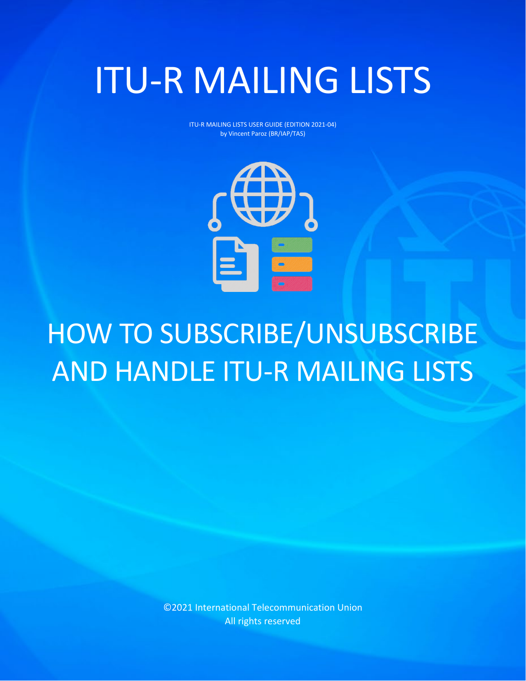# ITU-R MAILING LISTS

ITU-R MAILING LISTS USER GUIDE (EDITION 2021-04) by Vincent Paroz (BR/IAP/TAS)



## HOW TO SUBSCRIBE/UNSUBSCRIBE AND HANDLE ITU-R MAILING LISTS

©2021 International Telecommunication Union All rights reserved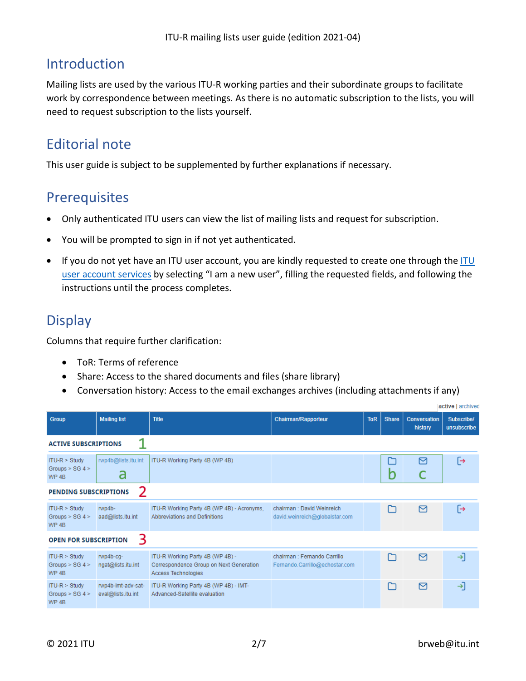## Introduction

Mailing lists are used by the various ITU-R working parties and their subordinate groups to facilitate work by correspondence between meetings. As there is no automatic subscription to the lists, you will need to request subscription to the lists yourself.

## Editorial note

This user guide is subject to be supplemented by further explanations if necessary.

## **Prerequisites**

- Only authenticated ITU users can view the list of mailing lists and request for subscription.
- You will be prompted to sign in if not yet authenticated.
- If you do not yet have an [ITU](https://www.itu.int/en/ties-services/Pages/login.aspx) user account, you are kindly requested to create one through the ITU [user account](https://www.itu.int/en/ties-services/Pages/login.aspx) services by selecting "I am a new user", filling the requested fields, and following the instructions until the process completes.

## **Display**

Columns that require further clarification:

- ToR: Terms of reference
- Share: Access to the shared documents and files (share library)
- Conversation history: Access to the email exchanges archives (including attachments if any)

|                                                            |                                          | active   archived                                                                                         |                                                                |            |              |                                |                           |
|------------------------------------------------------------|------------------------------------------|-----------------------------------------------------------------------------------------------------------|----------------------------------------------------------------|------------|--------------|--------------------------------|---------------------------|
| <b>Group</b>                                               | <b>Mailing list</b>                      | <b>Title</b>                                                                                              | <b>Chairman/Rapporteur</b>                                     | <b>ToR</b> | <b>Share</b> | <b>Conversation</b><br>history | Subscribe/<br>unsubscribe |
| <b>ACTIVE SUBSCRIPTIONS</b>                                |                                          |                                                                                                           |                                                                |            |              |                                |                           |
| $ITU-R > Study$<br>Groups $>$ SG 4 $>$<br>WP <sub>4B</sub> | rwp4b@lists.itu.int<br>a                 | ITU-R Working Party 4B (WP 4B)                                                                            |                                                                |            | b            | 罓                              | 「→                        |
| <b>PENDING SUBSCRIPTIONS</b>                               | 2                                        |                                                                                                           |                                                                |            |              |                                |                           |
| $ITU-R > Study$<br>Groups $>$ SG 4 $>$<br>WP <sub>4B</sub> | $rwp4b-$<br>aad@lists.itu.int            | ITU-R Working Party 4B (WP 4B) - Acronyms,<br>Abbreviations and Definitions                               | chairman: David Weinreich<br>david.weinreich@globalstar.com    |            |              | 罓                              | ⊢                         |
| <b>OPEN FOR SUBSCRIPTION</b>                               | 3                                        |                                                                                                           |                                                                |            |              |                                |                           |
| $ITU-R > Study$<br>Groups $>$ SG 4 $>$<br>WP <sub>4B</sub> | rwp4b-cq-<br>ngat@lists.itu.int          | ITU-R Working Party 4B (WP 4B) -<br>Correspondence Group on Next Generation<br><b>Access Technologies</b> | chairman : Fernando Carrillo<br>Fernando.Carrillo@echostar.com |            | г¬           | 罓                              | →⊺                        |
| $ITU-R > Study$<br>Groups $>$ SG 4 $>$<br>WP <sub>4B</sub> | rwp4b-imt-adv-sat-<br>eval@lists.itu.int | ITU-R Working Party 4B (WP 4B) - IMT-<br>Advanced-Satellite evaluation                                    |                                                                |            |              | 罓                              | →⊺                        |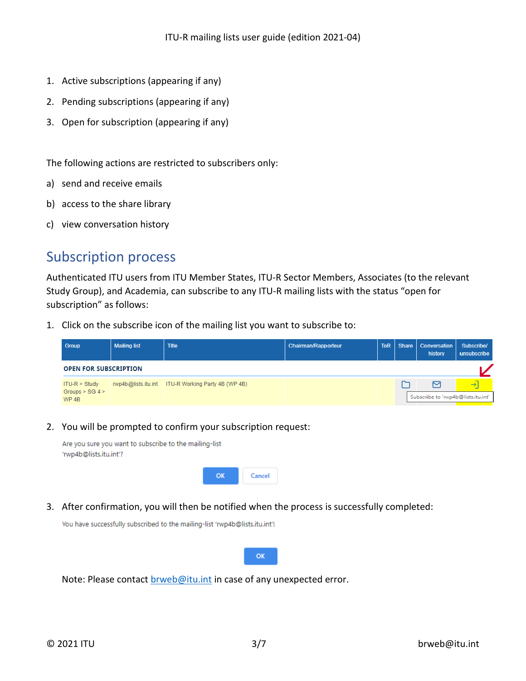- 1. Active subscriptions (appearing if any)
- 2. Pending subscriptions (appearing if any)
- 3. Open for subscription (appearing if any)

The following actions are restricted to subscribers only:

- a) send and receive emails
- b) access to the share library
- c) view conversation history

## Subscription process

Authenticated ITU users from ITU Member States, ITU-R Sector Members, Associates (to the relevant Study Group), and Academia, can subscribe to any ITU-R mailing lists with the status "open for subscription" as follows:

1. Click on the subscribe icon of the mailing list you want to subscribe to:

| <b>Group</b>                                               | <b>Mailing list</b> | <b>Title</b>                                       | <b>Chairman/Rapporteur</b> | <b>ToR</b> | <b>Share</b> | <b>Conversation</b><br>history                         | Subscribe/<br>unsubscribe |
|------------------------------------------------------------|---------------------|----------------------------------------------------|----------------------------|------------|--------------|--------------------------------------------------------|---------------------------|
| <b>OPEN FOR SUBSCRIPTION</b>                               |                     |                                                    |                            |            |              |                                                        |                           |
| $ITU-R > Study$<br>Groups $>$ SG 4 $>$<br>WP <sub>4B</sub> |                     | rwp4b@lists.itu.int ITU-R Working Party 4B (WP 4B) |                            |            |              | $\triangleright$<br>Subscribe to 'rwp4b@lists.itu.int' | $\rightarrow$             |

#### 2. You will be prompted to confirm your subscription request:

Are you sure you want to subscribe to the mailing-list 'rwp4b@lists.itu.int'?



3. After confirmation, you will then be notified when the process is successfully completed:

You have successfully subscribed to the mailing-list 'rwp4b@lists.itu.int'!



Note: Please contact [brweb@itu.int](mailto:brweb@itu.int) in case of any unexpected error.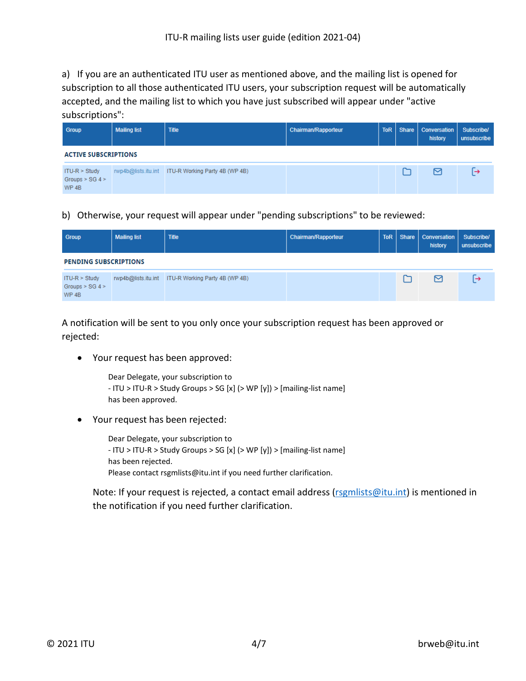a) If you are an authenticated ITU user as mentioned above, and the mailing list is opened for subscription to all those authenticated ITU users, your subscription request will be automatically accepted, and the mailing list to which you have just subscribed will appear under "active subscriptions":

| Group                                                      | <b>Mailing list</b> | <b>Title</b>                                       | <b>Chairman/Rapporteur</b> | <b>ToR</b> | Share   Conversation<br>history | Subscribe/<br>unsubscribe |
|------------------------------------------------------------|---------------------|----------------------------------------------------|----------------------------|------------|---------------------------------|---------------------------|
| <b>ACTIVE SUBSCRIPTIONS</b>                                |                     |                                                    |                            |            |                                 |                           |
| $ITU-R > Study$<br>Groups $>$ SG 4 $>$<br>WP <sub>4B</sub> |                     | rwp4b@lists.itu.int ITU-R Working Party 4B (WP 4B) |                            |            | м                               | ∣→                        |

b) Otherwise, your request will appear under "pending subscriptions" to be reviewed:

| Group                                                      | <b>Mailing list</b> | <b>Title</b>                                       | <b>Chairman/Rapporteur</b> | <b>ToR</b> | Share | <b>Conversation</b><br>history | Subscribe/<br>unsubscribe |
|------------------------------------------------------------|---------------------|----------------------------------------------------|----------------------------|------------|-------|--------------------------------|---------------------------|
| <b>PENDING SUBSCRIPTIONS</b>                               |                     |                                                    |                            |            |       |                                |                           |
| $ITU-R > Study$<br>Groups $>$ SG 4 $>$<br>WP <sub>4B</sub> |                     | rwp4b@lists.itu.int ITU-R Working Party 4B (WP 4B) |                            |            |       | 罓                              | ⊢                         |

A notification will be sent to you only once your subscription request has been approved or rejected:

• Your request has been approved:

Dear Delegate, your subscription to - ITU > ITU-R > Study Groups > SG [x] (> WP [y]) > [mailing-list name] has been approved.

• Your request has been rejected:

Dear Delegate, your subscription to - ITU > ITU-R > Study Groups > SG [x] (> WP [y]) > [mailing-list name] has been rejected. Please contact rsgmlists@itu.int if you need further clarification.

Note: If your request is rejected, a contact email address [\(rsgmlists@itu.int\)](mailto:rsgmlists@itu.int) is mentioned in the notification if you need further clarification.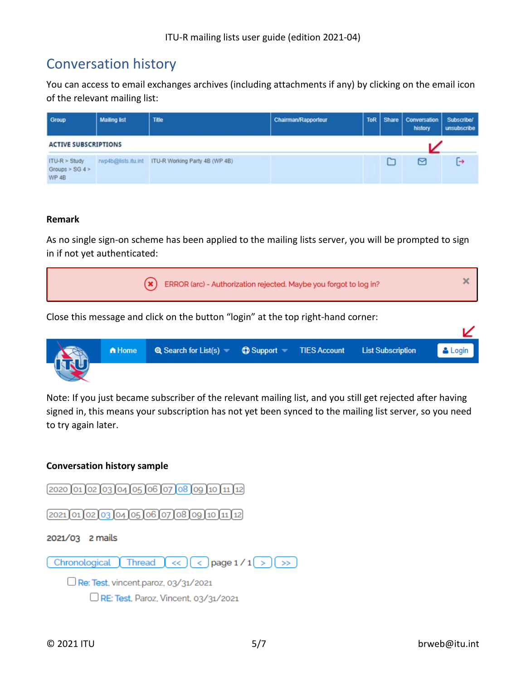## Conversation history

You can access to email exchanges archives (including attachments if any) by clicking on the email icon of the relevant mailing list:

| Group                                                 | <b>Mailing list</b> | Title                                              | Chairman/Rapporteur |  | ToR   Share   Conversation  <br>history | Subscribe/<br>unsubscribe |
|-------------------------------------------------------|---------------------|----------------------------------------------------|---------------------|--|-----------------------------------------|---------------------------|
| <b>ACTIVE SUBSCRIPTIONS</b>                           |                     |                                                    |                     |  |                                         |                           |
| $ITU-R > Study$<br>Groups $>$ SG 4 $>$<br><b>WP4B</b> |                     | rwp4b@lists.itu.int ITU-R Working Party 4B (WP 4B) |                     |  | 罓                                       | [→                        |

#### **Remark**

As no single sign-on scheme has been applied to the mailing lists server, you will be prompted to sign in if not yet authenticated:

| $(\ast)$ ERROR (arc) - Authorization rejected. Maybe you forgot to log in?       |  |
|----------------------------------------------------------------------------------|--|
| Close this message and click on the button "login" at the top right-hand corner: |  |

| KO | A Home | Q Search for List(s) $\qquad$ Q Support TIES Account List Subscription |  | $\blacksquare$ $\blacksquare$ $\blacksquare$ |
|----|--------|------------------------------------------------------------------------|--|----------------------------------------------|
|    |        |                                                                        |  |                                              |

Note: If you just became subscriber of the relevant mailing list, and you still get rejected after having signed in, this means your subscription has not yet been synced to the mailing list server, so you need to try again later.

#### **Conversation history sample**

 $[2020]01]02]03]04]05]06]07]08]09]10]11]12]$  $(2021)01020304050607080910112)$ 2021/03 2 mails Chronological  $\int$  Thread  $\int$  <<  $\int$  ( <  $\int$  page 1/1( >  $\int$  >>  $\Box$  Re: Test, vincent.paroz, 03/31/2021

 $\Box$  RE: Test, Paroz, Vincent, 03/31/2021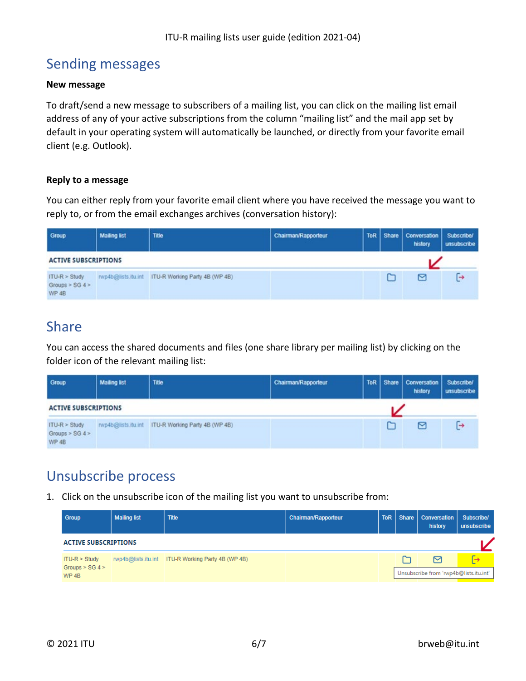## Sending messages

#### **New message**

To draft/send a new message to subscribers of a mailing list, you can click on the mailing list email address of any of your active subscriptions from the column "mailing list" and the mail app set by default in your operating system will automatically be launched, or directly from your favorite email client (e.g. Outlook).

#### **Reply to a message**

You can either reply from your favorite email client where you have received the message you want to reply to, or from the email exchanges archives (conversation history):

| Group                                           | <b>Mailing list</b> | <b>Title</b>                                       | Chairman/Rapporteur |          | ToR   Share   Conversation  <br>history | <b>Subscribe/</b><br>unsubscribe |
|-------------------------------------------------|---------------------|----------------------------------------------------|---------------------|----------|-----------------------------------------|----------------------------------|
| <b>ACTIVE SUBSCRIPTIONS</b>                     |                     |                                                    |                     |          |                                         |                                  |
| $ITU-R > Study$<br>Groups $>$ SG 4 $>$<br>WP 4B |                     | rwp4b@lists.itu.int ITU-R Working Party 4B (WP 4B) |                     | <u>_</u> | м                                       | [→                               |

## Share

You can access the shared documents and files (one share library per mailing list) by clicking on the folder icon of the relevant mailing list:

| Group                                           | <b>Mailing list</b> | Title                          | Chairman/Rapporteur |  | ToR Share   Conversation   Subscribe/<br>history | unsubscribe |
|-------------------------------------------------|---------------------|--------------------------------|---------------------|--|--------------------------------------------------|-------------|
| <b>ACTIVE SUBSCRIPTIONS</b>                     |                     |                                |                     |  |                                                  |             |
| $ITU-R > Study$<br>Groups $>$ SG 4 $>$<br>WP 4B | rwp4b@lists.itu.int | ITU-R Working Party 4B (WP 4B) |                     |  | ↖                                                | ſ→          |

## Unsubscribe process

1. Click on the unsubscribe icon of the mailing list you want to unsubscribe from:

| <b>Group</b>                                               | <b>Mailing list</b> | <b>Title</b>                                       | <b>Chairman/Rapporteur</b> | ToR | Share   Conversation<br>history             | Subscribe/<br>unsubscribe |
|------------------------------------------------------------|---------------------|----------------------------------------------------|----------------------------|-----|---------------------------------------------|---------------------------|
| <b>ACTIVE SUBSCRIPTIONS</b>                                |                     |                                                    |                            |     |                                             |                           |
| $ITU-R > Study$<br>Groups $>$ SG 4 $>$<br>WP <sub>4B</sub> |                     | rwp4b@lists.itu.int ITU-R Working Party 4B (WP 4B) |                            |     | 罓<br>Unsubscribe from 'rwp4b@lists.itu.int' | $\rightarrow$             |